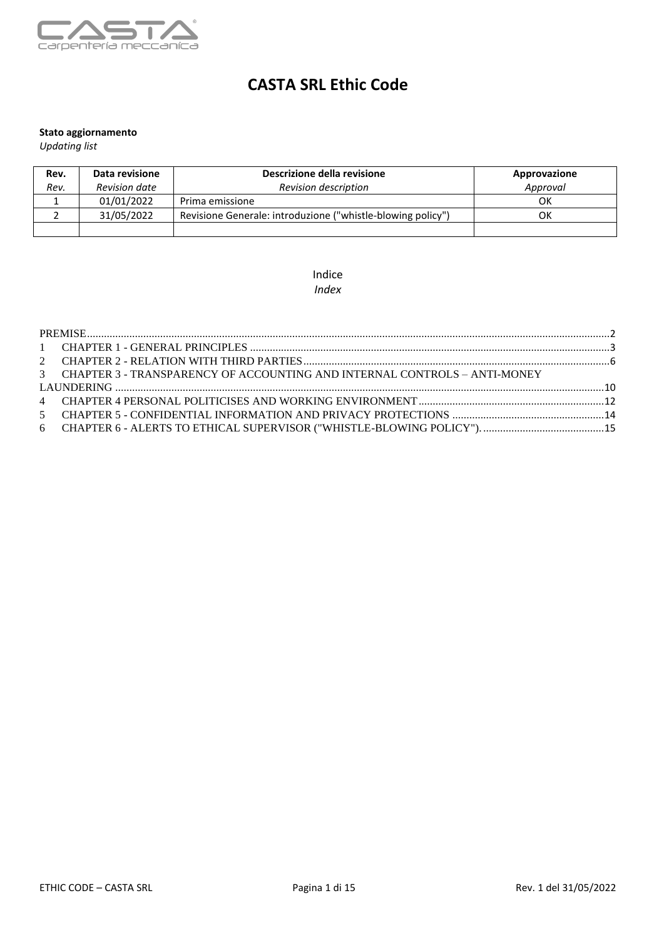

# **CASTA SRL Ethic Code**

#### **Stato aggiornamento**

*Updating list*

| Rev. | Data revisione       | Descrizione della revisione                                 | Approvazione |
|------|----------------------|-------------------------------------------------------------|--------------|
| Rev. | <b>Revision date</b> | <b>Revision description</b>                                 | Approval     |
|      | 01/01/2022           | Prima emissione                                             | ОΚ           |
|      | 31/05/2022           | Revisione Generale: introduzione ("whistle-blowing policy") | ОK           |
|      |                      |                                                             |              |

#### Indice *Index*

| 3 CHAPTER 3 - TRANSPARENCY OF ACCOUNTING AND INTERNAL CONTROLS – ANTI-MONEY |
|-----------------------------------------------------------------------------|
|                                                                             |
|                                                                             |
|                                                                             |
|                                                                             |
|                                                                             |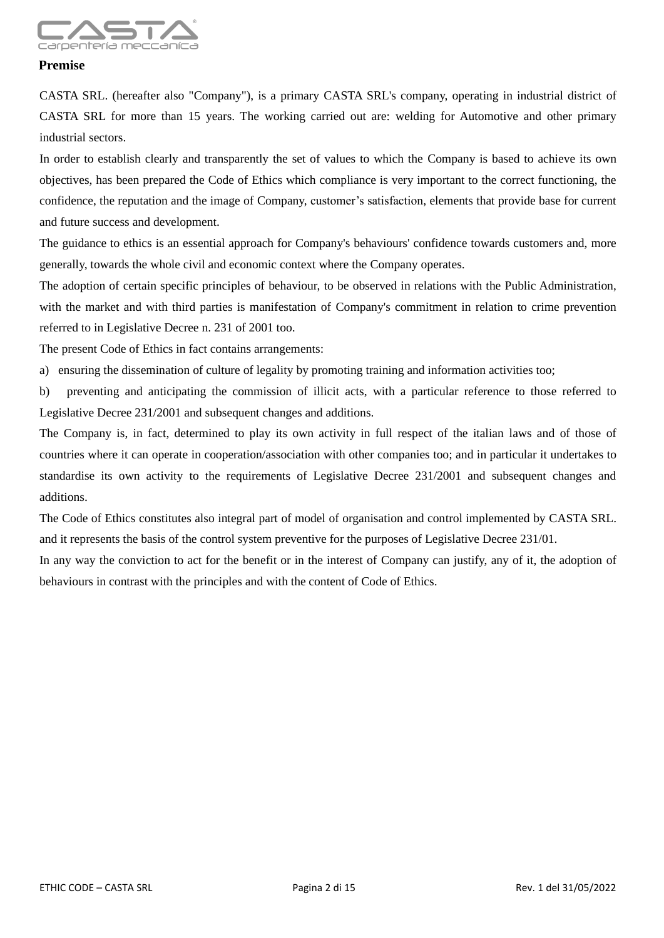

#### <span id="page-1-0"></span>**Premise**

CASTA SRL. (hereafter also "Company"), is a primary CASTA SRL's company, operating in industrial district of CASTA SRL for more than 15 years. The working carried out are: welding for Automotive and other primary industrial sectors.

In order to establish clearly and transparently the set of values to which the Company is based to achieve its own objectives, has been prepared the Code of Ethics which compliance is very important to the correct functioning, the confidence, the reputation and the image of Company, customer's satisfaction, elements that provide base for current and future success and development.

The guidance to ethics is an essential approach for Company's behaviours' confidence towards customers and, more generally, towards the whole civil and economic context where the Company operates.

The adoption of certain specific principles of behaviour, to be observed in relations with the Public Administration, with the market and with third parties is manifestation of Company's commitment in relation to crime prevention referred to in Legislative Decree n. 231 of 2001 too.

The present Code of Ethics in fact contains arrangements:

a) ensuring the dissemination of culture of legality by promoting training and information activities too;

b) preventing and anticipating the commission of illicit acts, with a particular reference to those referred to Legislative Decree 231/2001 and subsequent changes and additions.

The Company is, in fact, determined to play its own activity in full respect of the italian laws and of those of countries where it can operate in cooperation/association with other companies too; and in particular it undertakes to standardise its own activity to the requirements of Legislative Decree 231/2001 and subsequent changes and additions.

The Code of Ethics constitutes also integral part of model of organisation and control implemented by CASTA SRL. and it represents the basis of the control system preventive for the purposes of Legislative Decree 231/01.

In any way the conviction to act for the benefit or in the interest of Company can justify, any of it, the adoption of behaviours in contrast with the principles and with the content of Code of Ethics.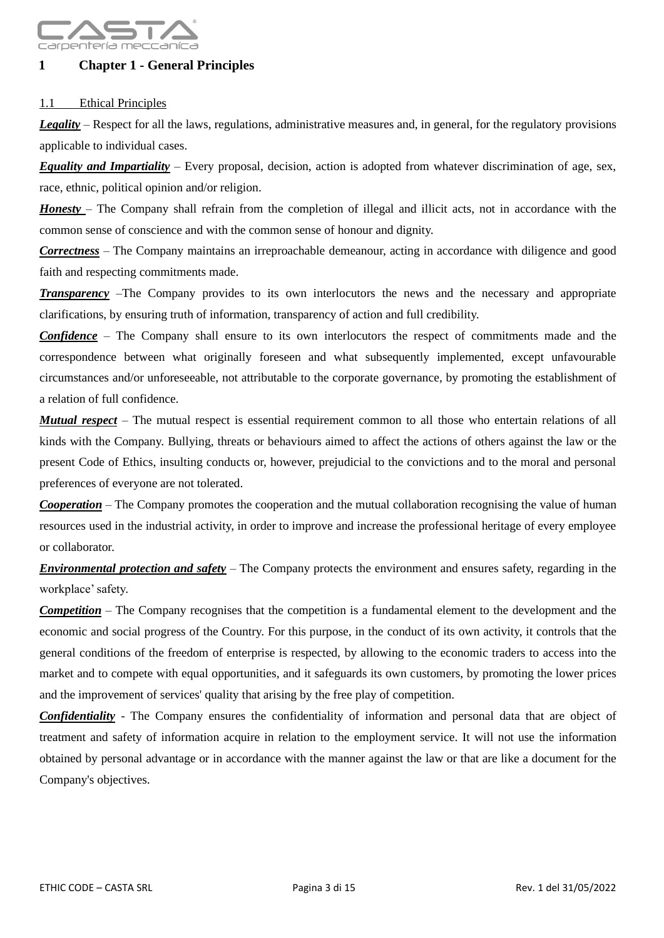

# <span id="page-2-0"></span>**1 Chapter 1 - General Principles**

#### 1.1 Ethical Principles

*Legality –* Respect for all the laws, regulations, administrative measures and, in general, for the regulatory provisions applicable to individual cases.

*Equality and Impartiality* – Every proposal, decision, action is adopted from whatever discrimination of age, sex, race, ethnic, political opinion and/or religion.

*Honesty* – The Company shall refrain from the completion of illegal and illicit acts, not in accordance with the common sense of conscience and with the common sense of honour and dignity.

*Correctness* – The Company maintains an irreproachable demeanour, acting in accordance with diligence and good faith and respecting commitments made.

*Transparency* –The Company provides to its own interlocutors the news and the necessary and appropriate clarifications, by ensuring truth of information, transparency of action and full credibility.

*Confidence* – The Company shall ensure to its own interlocutors the respect of commitments made and the correspondence between what originally foreseen and what subsequently implemented, except unfavourable circumstances and/or unforeseeable, not attributable to the corporate governance, by promoting the establishment of a relation of full confidence.

*Mutual respect* – The mutual respect is essential requirement common to all those who entertain relations of all kinds with the Company. Bullying, threats or behaviours aimed to affect the actions of others against the law or the present Code of Ethics, insulting conducts or, however, prejudicial to the convictions and to the moral and personal preferences of everyone are not tolerated.

*Cooperation* – The Company promotes the cooperation and the mutual collaboration recognising the value of human resources used in the industrial activity, in order to improve and increase the professional heritage of every employee or collaborator.

*Environmental protection and safety* – The Company protects the environment and ensures safety, regarding in the workplace' safety.

*Competition* – The Company recognises that the competition is a fundamental element to the development and the economic and social progress of the Country. For this purpose, in the conduct of its own activity, it controls that the general conditions of the freedom of enterprise is respected, by allowing to the economic traders to access into the market and to compete with equal opportunities, and it safeguards its own customers, by promoting the lower prices and the improvement of services' quality that arising by the free play of competition.

*Confidentiality* - The Company ensures the confidentiality of information and personal data that are object of treatment and safety of information acquire in relation to the employment service. It will not use the information obtained by personal advantage or in accordance with the manner against the law or that are like a document for the Company's objectives.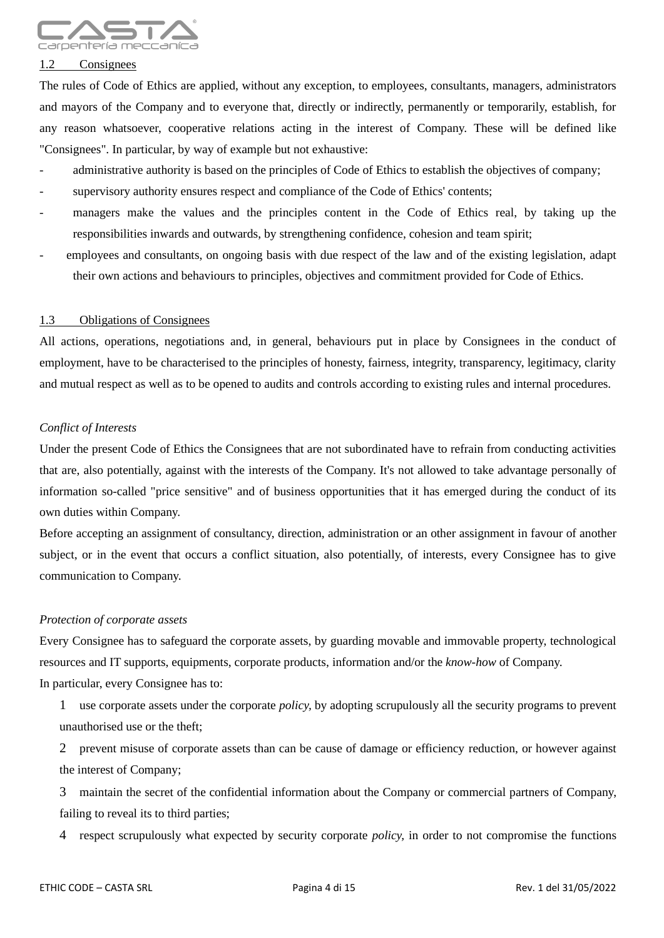

#### 1.2 Consignees

The rules of Code of Ethics are applied, without any exception, to employees, consultants, managers, administrators and mayors of the Company and to everyone that, directly or indirectly, permanently or temporarily, establish, for any reason whatsoever, cooperative relations acting in the interest of Company. These will be defined like "Consignees". In particular, by way of example but not exhaustive:

- administrative authority is based on the principles of Code of Ethics to establish the objectives of company;
- supervisory authority ensures respect and compliance of the Code of Ethics' contents;
- managers make the values and the principles content in the Code of Ethics real, by taking up the responsibilities inwards and outwards, by strengthening confidence, cohesion and team spirit;
- employees and consultants, on ongoing basis with due respect of the law and of the existing legislation, adapt their own actions and behaviours to principles, objectives and commitment provided for Code of Ethics.

#### 1.3 Obligations of Consignees

All actions, operations, negotiations and, in general, behaviours put in place by Consignees in the conduct of employment, have to be characterised to the principles of honesty, fairness, integrity, transparency, legitimacy, clarity and mutual respect as well as to be opened to audits and controls according to existing rules and internal procedures.

#### *Conflict of Interests*

Under the present Code of Ethics the Consignees that are not subordinated have to refrain from conducting activities that are, also potentially, against with the interests of the Company. It's not allowed to take advantage personally of information so-called "price sensitive" and of business opportunities that it has emerged during the conduct of its own duties within Company.

Before accepting an assignment of consultancy, direction, administration or an other assignment in favour of another subject, or in the event that occurs a conflict situation, also potentially, of interests, every Consignee has to give communication to Company.

#### *Protection of corporate assets*

Every Consignee has to safeguard the corporate assets, by guarding movable and immovable property, technological resources and IT supports, equipments, corporate products, information and/or the *know-how* of Company. In particular, every Consignee has to:

1 use corporate assets under the corporate *policy,* by adopting scrupulously all the security programs to prevent unauthorised use or the theft;

2 prevent misuse of corporate assets than can be cause of damage or efficiency reduction, or however against the interest of Company;

3 maintain the secret of the confidential information about the Company or commercial partners of Company, failing to reveal its to third parties;

4 respect scrupulously what expected by security corporate *policy,* in order to not compromise the functions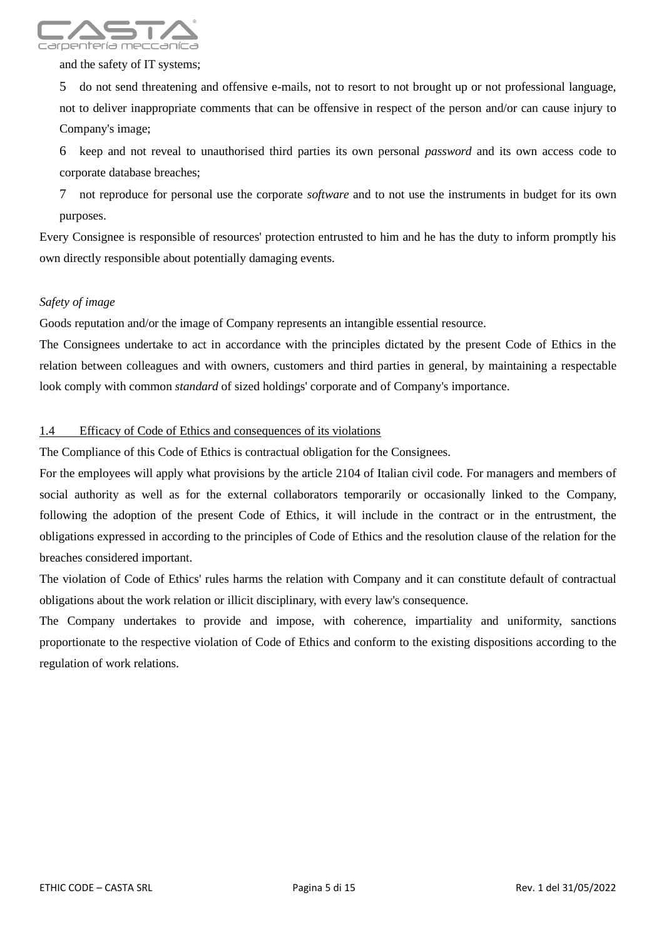

and the safety of IT systems;

5 do not send threatening and offensive e-mails, not to resort to not brought up or not professional language, not to deliver inappropriate comments that can be offensive in respect of the person and/or can cause injury to Company's image;

6 keep and not reveal to unauthorised third parties its own personal *password* and its own access code to corporate database breaches;

7 not reproduce for personal use the corporate *software* and to not use the instruments in budget for its own purposes.

Every Consignee is responsible of resources' protection entrusted to him and he has the duty to inform promptly his own directly responsible about potentially damaging events.

#### *Safety of image*

Goods reputation and/or the image of Company represents an intangible essential resource.

The Consignees undertake to act in accordance with the principles dictated by the present Code of Ethics in the relation between colleagues and with owners, customers and third parties in general, by maintaining a respectable look comply with common *standard* of sized holdings' corporate and of Company's importance.

#### 1.4 Efficacy of Code of Ethics and consequences of its violations

The Compliance of this Code of Ethics is contractual obligation for the Consignees.

For the employees will apply what provisions by the article 2104 of Italian civil code. For managers and members of social authority as well as for the external collaborators temporarily or occasionally linked to the Company, following the adoption of the present Code of Ethics, it will include in the contract or in the entrustment, the obligations expressed in according to the principles of Code of Ethics and the resolution clause of the relation for the breaches considered important.

The violation of Code of Ethics' rules harms the relation with Company and it can constitute default of contractual obligations about the work relation or illicit disciplinary, with every law's consequence.

The Company undertakes to provide and impose, with coherence, impartiality and uniformity, sanctions proportionate to the respective violation of Code of Ethics and conform to the existing dispositions according to the regulation of work relations.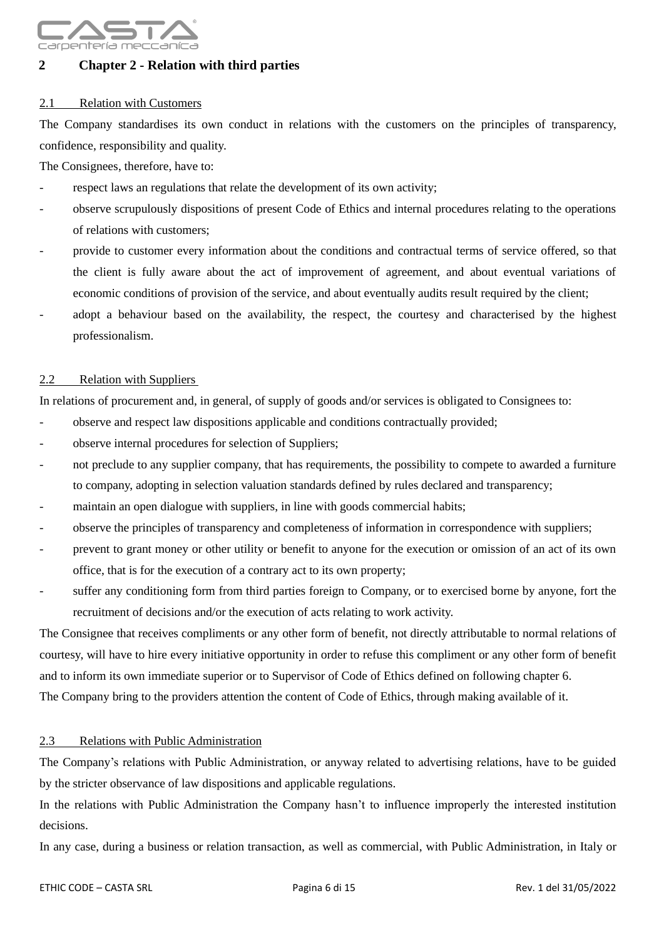

# <span id="page-5-0"></span>**2 Chapter 2 - Relation with third parties**

#### 2.1 Relation with Customers

The Company standardises its own conduct in relations with the customers on the principles of transparency, confidence, responsibility and quality.

The Consignees, therefore, have to:

- respect laws an regulations that relate the development of its own activity;
- observe scrupulously dispositions of present Code of Ethics and internal procedures relating to the operations of relations with customers;
- provide to customer every information about the conditions and contractual terms of service offered, so that the client is fully aware about the act of improvement of agreement, and about eventual variations of economic conditions of provision of the service, and about eventually audits result required by the client;
- adopt a behaviour based on the availability, the respect, the courtesy and characterised by the highest professionalism.

#### 2.2 Relation with Suppliers

In relations of procurement and, in general, of supply of goods and/or services is obligated to Consignees to:

- observe and respect law dispositions applicable and conditions contractually provided;
- observe internal procedures for selection of Suppliers;
- not preclude to any supplier company, that has requirements, the possibility to compete to awarded a furniture to company, adopting in selection valuation standards defined by rules declared and transparency;
- maintain an open dialogue with suppliers, in line with goods commercial habits;
- observe the principles of transparency and completeness of information in correspondence with suppliers;
- prevent to grant money or other utility or benefit to anyone for the execution or omission of an act of its own office, that is for the execution of a contrary act to its own property;
- suffer any conditioning form from third parties foreign to Company, or to exercised borne by anyone, fort the recruitment of decisions and/or the execution of acts relating to work activity.

The Consignee that receives compliments or any other form of benefit, not directly attributable to normal relations of courtesy, will have to hire every initiative opportunity in order to refuse this compliment or any other form of benefit and to inform its own immediate superior or to Supervisor of Code of Ethics defined on following chapter 6. The Company bring to the providers attention the content of Code of Ethics, through making available of it.

#### 2.3 Relations with Public Administration

The Company's relations with Public Administration, or anyway related to advertising relations, have to be guided by the stricter observance of law dispositions and applicable regulations.

In the relations with Public Administration the Company hasn't to influence improperly the interested institution decisions.

In any case, during a business or relation transaction, as well as commercial, with Public Administration, in Italy or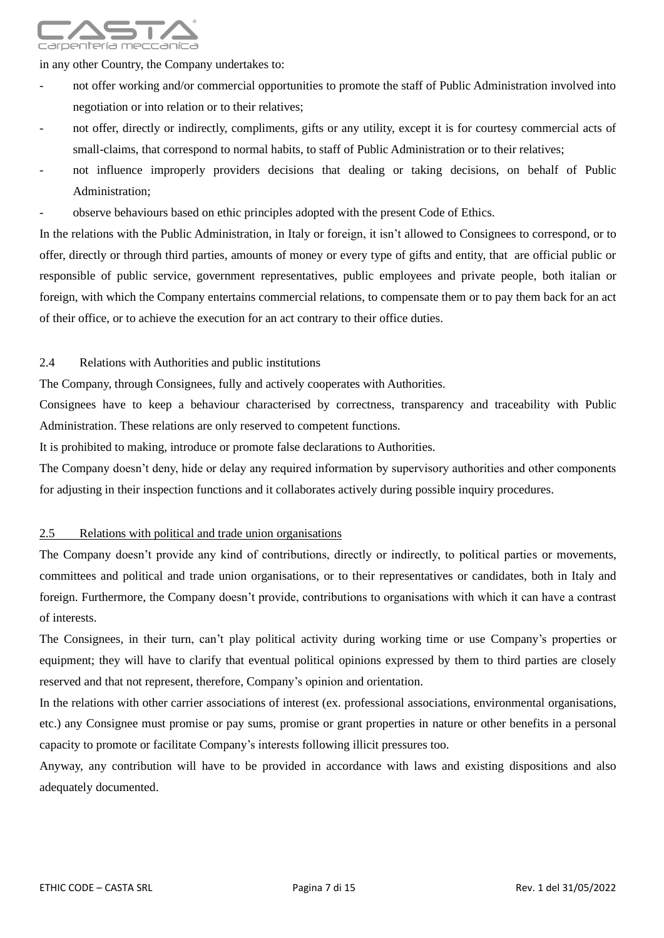

in any other Country, the Company undertakes to:

- not offer working and/or commercial opportunities to promote the staff of Public Administration involved into negotiation or into relation or to their relatives;
- not offer, directly or indirectly, compliments, gifts or any utility, except it is for courtesy commercial acts of small-claims, that correspond to normal habits, to staff of Public Administration or to their relatives;
- not influence improperly providers decisions that dealing or taking decisions, on behalf of Public Administration;
- observe behaviours based on ethic principles adopted with the present Code of Ethics.

In the relations with the Public Administration, in Italy or foreign, it isn't allowed to Consignees to correspond, or to offer, directly or through third parties, amounts of money or every type of gifts and entity, that are official public or responsible of public service, government representatives, public employees and private people, both italian or foreign, with which the Company entertains commercial relations, to compensate them or to pay them back for an act of their office, or to achieve the execution for an act contrary to their office duties.

#### 2.4 Relations with Authorities and public institutions

The Company, through Consignees, fully and actively cooperates with Authorities.

Consignees have to keep a behaviour characterised by correctness, transparency and traceability with Public Administration. These relations are only reserved to competent functions.

It is prohibited to making, introduce or promote false declarations to Authorities.

The Company doesn't deny, hide or delay any required information by supervisory authorities and other components for adjusting in their inspection functions and it collaborates actively during possible inquiry procedures.

#### 2.5 Relations with political and trade union organisations

The Company doesn't provide any kind of contributions, directly or indirectly, to political parties or movements, committees and political and trade union organisations, or to their representatives or candidates, both in Italy and foreign. Furthermore, the Company doesn't provide, contributions to organisations with which it can have a contrast of interests.

The Consignees, in their turn, can't play political activity during working time or use Company's properties or equipment; they will have to clarify that eventual political opinions expressed by them to third parties are closely reserved and that not represent, therefore, Company's opinion and orientation.

In the relations with other carrier associations of interest (ex. professional associations, environmental organisations, etc.) any Consignee must promise or pay sums, promise or grant properties in nature or other benefits in a personal capacity to promote or facilitate Company's interests following illicit pressures too.

Anyway, any contribution will have to be provided in accordance with laws and existing dispositions and also adequately documented.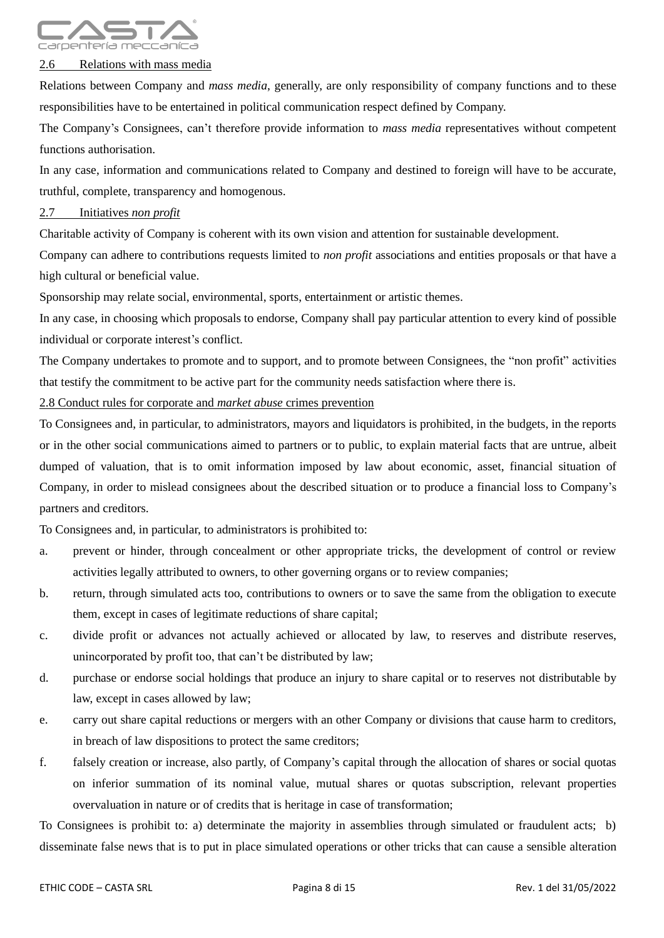

#### 2.6 Relations with mass media

Relations between Company and *mass media*, generally, are only responsibility of company functions and to these responsibilities have to be entertained in political communication respect defined by Company.

The Company's Consignees, can't therefore provide information to *mass media* representatives without competent functions authorisation.

In any case, information and communications related to Company and destined to foreign will have to be accurate, truthful, complete, transparency and homogenous.

#### 2.7 Initiatives *non profit*

Charitable activity of Company is coherent with its own vision and attention for sustainable development.

Company can adhere to contributions requests limited to *non profit* associations and entities proposals or that have a high cultural or beneficial value.

Sponsorship may relate social, environmental, sports, entertainment or artistic themes.

In any case, in choosing which proposals to endorse, Company shall pay particular attention to every kind of possible individual or corporate interest's conflict.

The Company undertakes to promote and to support, and to promote between Consignees, the "non profit" activities that testify the commitment to be active part for the community needs satisfaction where there is.

2.8 Conduct rules for corporate and *market abuse* crimes prevention

To Consignees and, in particular, to administrators, mayors and liquidators is prohibited, in the budgets, in the reports or in the other social communications aimed to partners or to public, to explain material facts that are untrue, albeit dumped of valuation, that is to omit information imposed by law about economic, asset, financial situation of Company, in order to mislead consignees about the described situation or to produce a financial loss to Company's partners and creditors.

To Consignees and, in particular, to administrators is prohibited to:

- a. prevent or hinder, through concealment or other appropriate tricks, the development of control or review activities legally attributed to owners, to other governing organs or to review companies;
- b. return, through simulated acts too, contributions to owners or to save the same from the obligation to execute them, except in cases of legitimate reductions of share capital;
- c. divide profit or advances not actually achieved or allocated by law, to reserves and distribute reserves, unincorporated by profit too, that can't be distributed by law;
- d. purchase or endorse social holdings that produce an injury to share capital or to reserves not distributable by law, except in cases allowed by law;
- e. carry out share capital reductions or mergers with an other Company or divisions that cause harm to creditors, in breach of law dispositions to protect the same creditors;
- f. falsely creation or increase, also partly, of Company's capital through the allocation of shares or social quotas on inferior summation of its nominal value, mutual shares or quotas subscription, relevant properties overvaluation in nature or of credits that is heritage in case of transformation;

To Consignees is prohibit to: a) determinate the majority in assemblies through simulated or fraudulent acts; b) disseminate false news that is to put in place simulated operations or other tricks that can cause a sensible alteration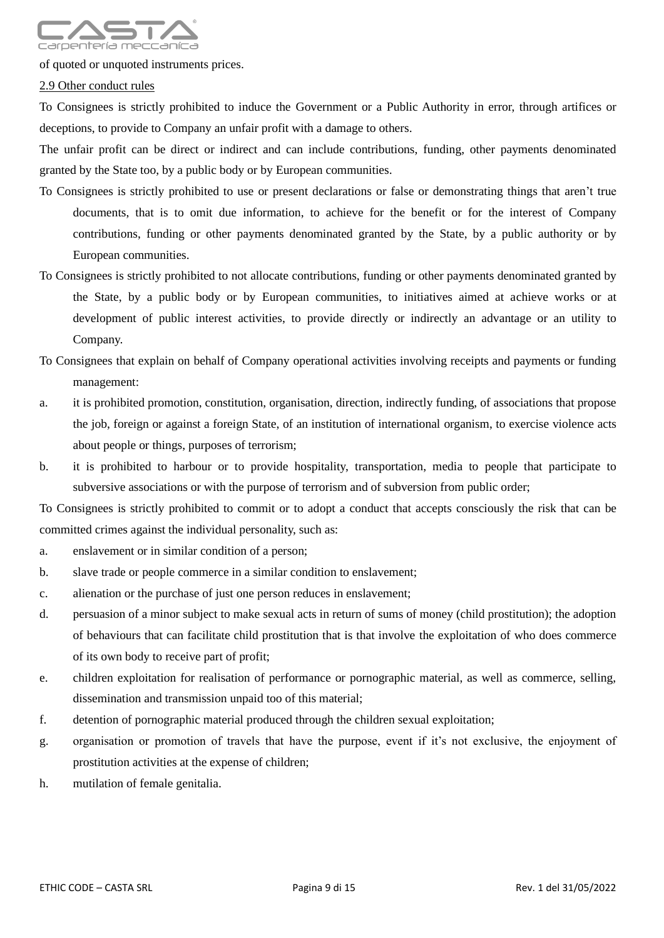

of quoted or unquoted instruments prices.

2.9 Other conduct rules

To Consignees is strictly prohibited to induce the Government or a Public Authority in error, through artifices or deceptions, to provide to Company an unfair profit with a damage to others.

The unfair profit can be direct or indirect and can include contributions, funding, other payments denominated granted by the State too, by a public body or by European communities.

- To Consignees is strictly prohibited to use or present declarations or false or demonstrating things that aren't true documents, that is to omit due information, to achieve for the benefit or for the interest of Company contributions, funding or other payments denominated granted by the State, by a public authority or by European communities.
- To Consignees is strictly prohibited to not allocate contributions, funding or other payments denominated granted by the State, by a public body or by European communities, to initiatives aimed at achieve works or at development of public interest activities, to provide directly or indirectly an advantage or an utility to Company.

# To Consignees that explain on behalf of Company operational activities involving receipts and payments or funding management:

- a. it is prohibited promotion, constitution, organisation, direction, indirectly funding, of associations that propose the job, foreign or against a foreign State, of an institution of international organism, to exercise violence acts about people or things, purposes of terrorism;
- b. it is prohibited to harbour or to provide hospitality, transportation, media to people that participate to subversive associations or with the purpose of terrorism and of subversion from public order;

To Consignees is strictly prohibited to commit or to adopt a conduct that accepts consciously the risk that can be committed crimes against the individual personality, such as:

- a. enslavement or in similar condition of a person;
- b. slave trade or people commerce in a similar condition to enslavement;
- c. alienation or the purchase of just one person reduces in enslavement;
- d. persuasion of a minor subject to make sexual acts in return of sums of money (child prostitution); the adoption of behaviours that can facilitate child prostitution that is that involve the exploitation of who does commerce of its own body to receive part of profit;
- e. children exploitation for realisation of performance or pornographic material, as well as commerce, selling, dissemination and transmission unpaid too of this material;
- f. detention of pornographic material produced through the children sexual exploitation;
- g. organisation or promotion of travels that have the purpose, event if it's not exclusive, the enjoyment of prostitution activities at the expense of children;
- h. mutilation of female genitalia.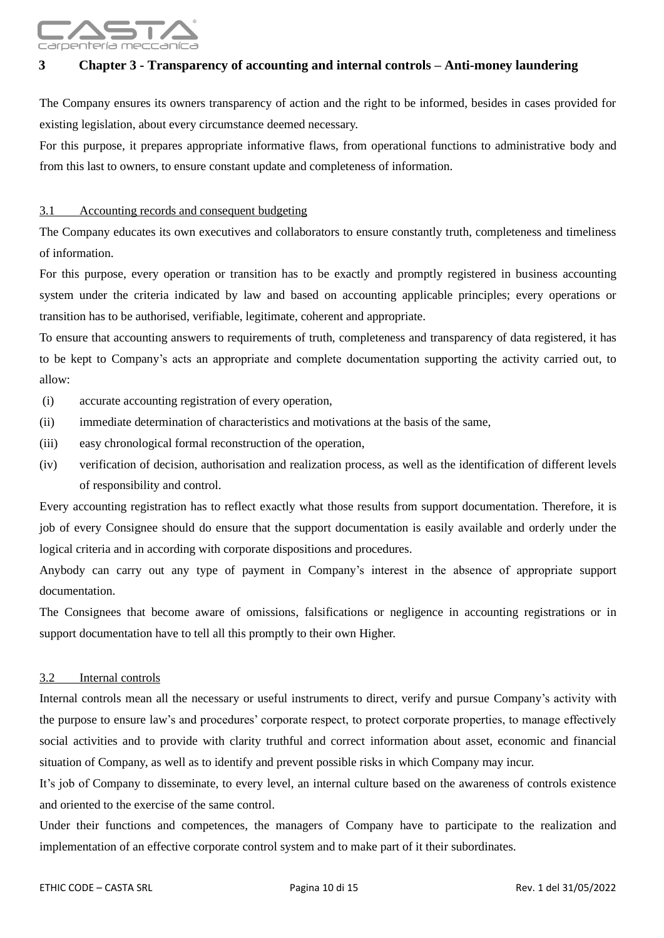

# <span id="page-9-0"></span>**3 Chapter 3 - Transparency of accounting and internal controls – Anti-money laundering**

The Company ensures its owners transparency of action and the right to be informed, besides in cases provided for existing legislation, about every circumstance deemed necessary.

For this purpose, it prepares appropriate informative flaws, from operational functions to administrative body and from this last to owners, to ensure constant update and completeness of information.

#### 3.1 Accounting records and consequent budgeting

The Company educates its own executives and collaborators to ensure constantly truth, completeness and timeliness of information.

For this purpose, every operation or transition has to be exactly and promptly registered in business accounting system under the criteria indicated by law and based on accounting applicable principles; every operations or transition has to be authorised, verifiable, legitimate, coherent and appropriate.

To ensure that accounting answers to requirements of truth, completeness and transparency of data registered, it has to be kept to Company's acts an appropriate and complete documentation supporting the activity carried out, to allow:

- (i) accurate accounting registration of every operation,
- (ii) immediate determination of characteristics and motivations at the basis of the same,
- (iii) easy chronological formal reconstruction of the operation,
- (iv) verification of decision, authorisation and realization process, as well as the identification of different levels of responsibility and control.

Every accounting registration has to reflect exactly what those results from support documentation. Therefore, it is job of every Consignee should do ensure that the support documentation is easily available and orderly under the logical criteria and in according with corporate dispositions and procedures.

Anybody can carry out any type of payment in Company's interest in the absence of appropriate support documentation.

The Consignees that become aware of omissions, falsifications or negligence in accounting registrations or in support documentation have to tell all this promptly to their own Higher.

#### 3.2 Internal controls

Internal controls mean all the necessary or useful instruments to direct, verify and pursue Company's activity with the purpose to ensure law's and procedures' corporate respect, to protect corporate properties, to manage effectively social activities and to provide with clarity truthful and correct information about asset, economic and financial situation of Company, as well as to identify and prevent possible risks in which Company may incur.

It's job of Company to disseminate, to every level, an internal culture based on the awareness of controls existence and oriented to the exercise of the same control.

Under their functions and competences, the managers of Company have to participate to the realization and implementation of an effective corporate control system and to make part of it their subordinates.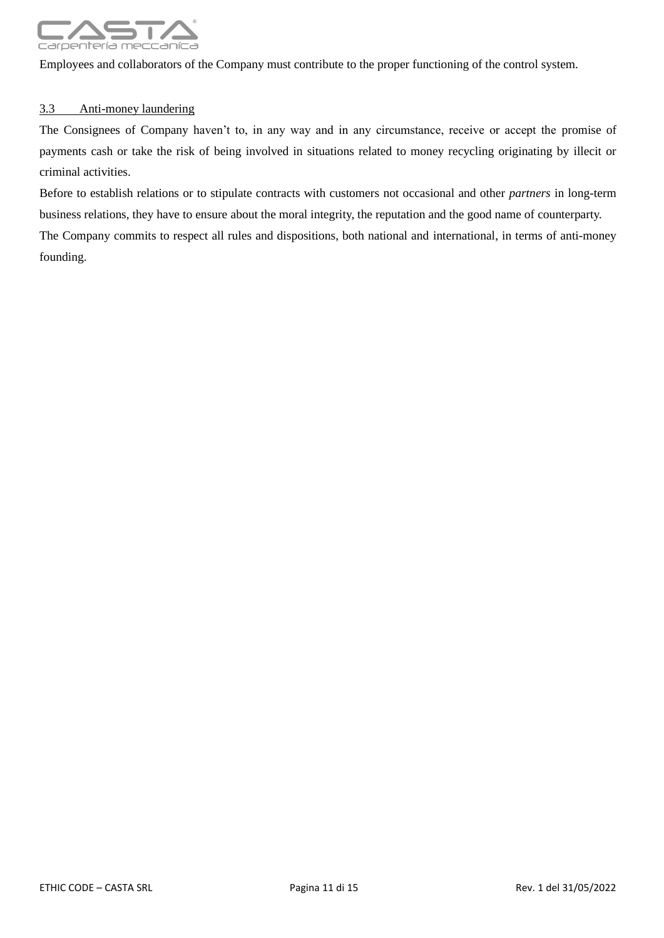

Employees and collaborators of the Company must contribute to the proper functioning of the control system.

#### 3.3 Anti-money laundering

The Consignees of Company haven't to, in any way and in any circumstance, receive or accept the promise of payments cash or take the risk of being involved in situations related to money recycling originating by illecit or criminal activities.

Before to establish relations or to stipulate contracts with customers not occasional and other *partners* in long-term business relations, they have to ensure about the moral integrity, the reputation and the good name of counterparty. The Company commits to respect all rules and dispositions, both national and international, in terms of anti-money founding.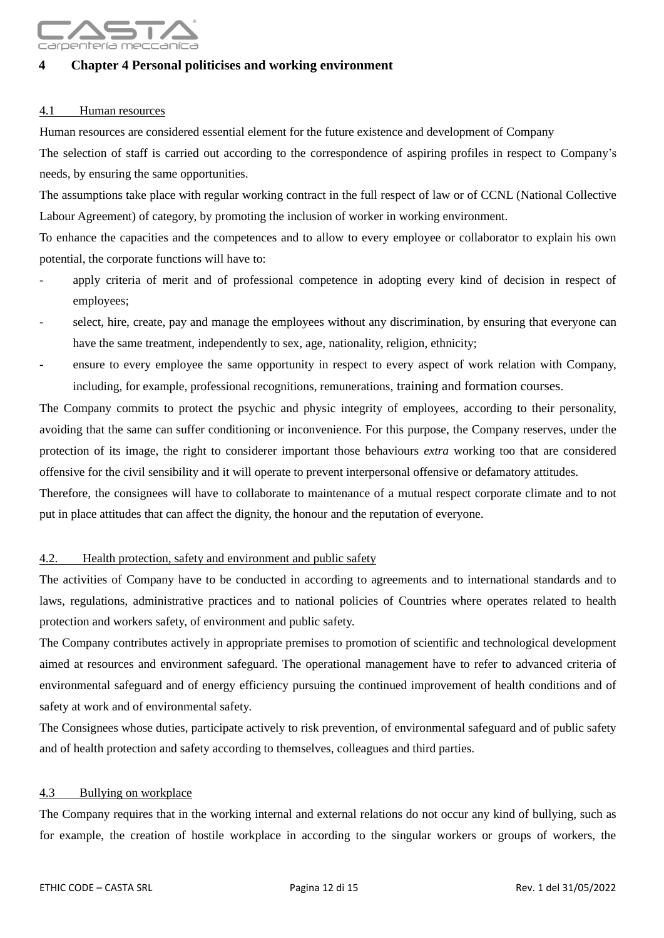

### <span id="page-11-0"></span>**4 Chapter 4 Personal politicises and working environment**

#### 4.1 Human resources

Human resources are considered essential element for the future existence and development of Company

The selection of staff is carried out according to the correspondence of aspiring profiles in respect to Company's needs, by ensuring the same opportunities.

The assumptions take place with regular working contract in the full respect of law or of CCNL (National Collective Labour Agreement) of category, by promoting the inclusion of worker in working environment.

To enhance the capacities and the competences and to allow to every employee or collaborator to explain his own potential, the corporate functions will have to:

- apply criteria of merit and of professional competence in adopting every kind of decision in respect of employees;
- select, hire, create, pay and manage the employees without any discrimination, by ensuring that everyone can have the same treatment, independently to sex, age, nationality, religion, ethnicity;
- ensure to every employee the same opportunity in respect to every aspect of work relation with Company, including, for example, professional recognitions, remunerations, training and formation courses.

The Company commits to protect the psychic and physic integrity of employees, according to their personality, avoiding that the same can suffer conditioning or inconvenience. For this purpose, the Company reserves, under the protection of its image, the right to considerer important those behaviours *extra* working too that are considered offensive for the civil sensibility and it will operate to prevent interpersonal offensive or defamatory attitudes.

Therefore, the consignees will have to collaborate to maintenance of a mutual respect corporate climate and to not put in place attitudes that can affect the dignity, the honour and the reputation of everyone.

#### 4.2. Health protection, safety and environment and public safety

The activities of Company have to be conducted in according to agreements and to international standards and to laws, regulations, administrative practices and to national policies of Countries where operates related to health protection and workers safety, of environment and public safety.

The Company contributes actively in appropriate premises to promotion of scientific and technological development aimed at resources and environment safeguard. The operational management have to refer to advanced criteria of environmental safeguard and of energy efficiency pursuing the continued improvement of health conditions and of safety at work and of environmental safety.

The Consignees whose duties, participate actively to risk prevention, of environmental safeguard and of public safety and of health protection and safety according to themselves, colleagues and third parties.

#### 4.3 Bullying on workplace

The Company requires that in the working internal and external relations do not occur any kind of bullying, such as for example, the creation of hostile workplace in according to the singular workers or groups of workers, the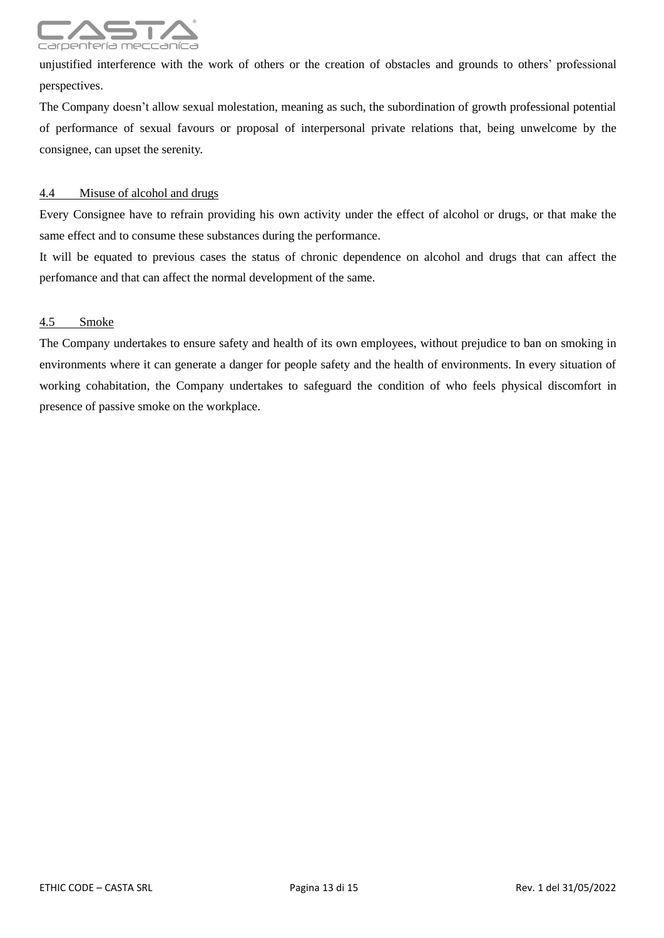

unjustified interference with the work of others or the creation of obstacles and grounds to others' professional perspectives.

The Company doesn't allow sexual molestation, meaning as such, the subordination of growth professional potential of performance of sexual favours or proposal of interpersonal private relations that, being unwelcome by the consignee, can upset the serenity.

#### 4.4 Misuse of alcohol and drugs

Every Consignee have to refrain providing his own activity under the effect of alcohol or drugs, or that make the same effect and to consume these substances during the performance.

It will be equated to previous cases the status of chronic dependence on alcohol and drugs that can affect the perfomance and that can affect the normal development of the same.

#### 4.5 Smoke

The Company undertakes to ensure safety and health of its own employees, without prejudice to ban on smoking in environments where it can generate a danger for people safety and the health of environments. In every situation of working cohabitation, the Company undertakes to safeguard the condition of who feels physical discomfort in presence of passive smoke on the workplace.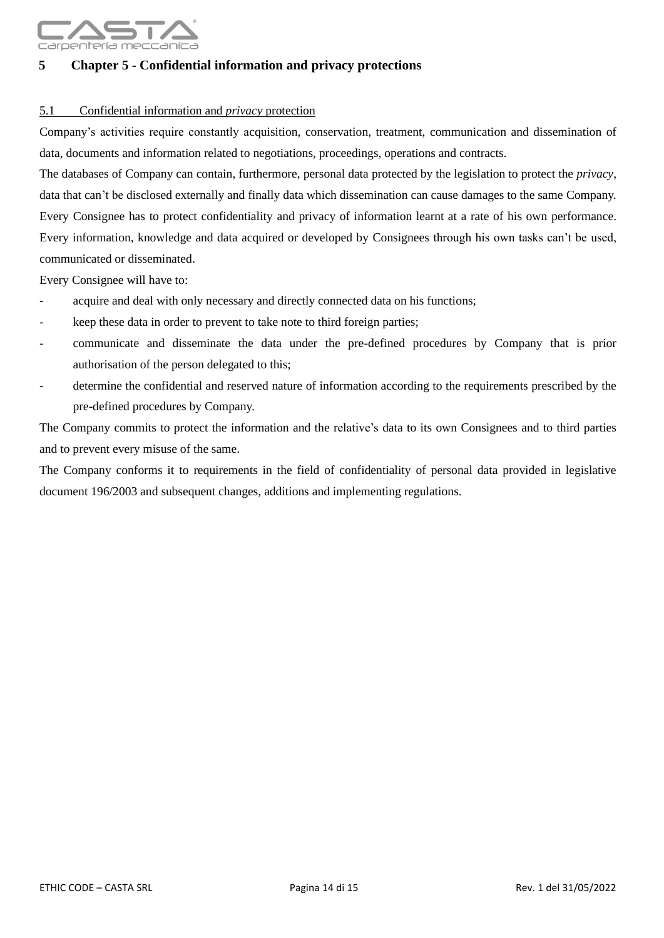

## <span id="page-13-0"></span>**5 Chapter 5 - Confidential information and privacy protections**

#### 5.1 Confidential information and *privacy* protection

Company's activities require constantly acquisition, conservation, treatment, communication and dissemination of data, documents and information related to negotiations, proceedings, operations and contracts.

The databases of Company can contain, furthermore, personal data protected by the legislation to protect the *privacy*, data that can't be disclosed externally and finally data which dissemination can cause damages to the same Company. Every Consignee has to protect confidentiality and privacy of information learnt at a rate of his own performance. Every information, knowledge and data acquired or developed by Consignees through his own tasks can't be used, communicated or disseminated.

Every Consignee will have to:

- acquire and deal with only necessary and directly connected data on his functions;
- keep these data in order to prevent to take note to third foreign parties;
- communicate and disseminate the data under the pre-defined procedures by Company that is prior authorisation of the person delegated to this;
- determine the confidential and reserved nature of information according to the requirements prescribed by the pre-defined procedures by Company.

The Company commits to protect the information and the relative's data to its own Consignees and to third parties and to prevent every misuse of the same.

The Company conforms it to requirements in the field of confidentiality of personal data provided in legislative document 196/2003 and subsequent changes, additions and implementing regulations.